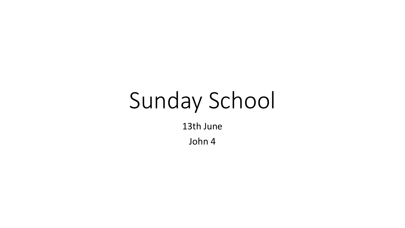# Sunday School

13th June

John 4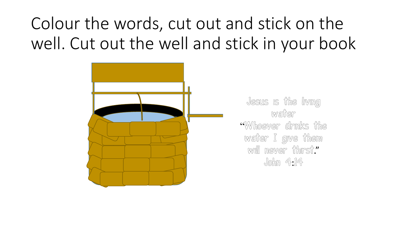## Colour the words, cut out and stick on the well. Cut out the well and stick in your book



Jesus is the living watter "Whoever drinks the water I give them will never thirst." John 4:14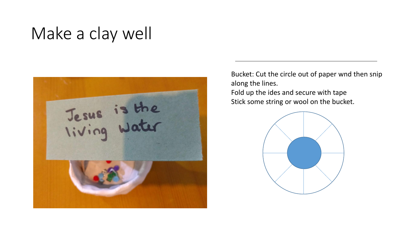### Make a clay well



Bucket: Cut the circle out of paper wnd then snip along the lines.

Fold up the ides and secure with tape Stick some string or wool on the bucket.

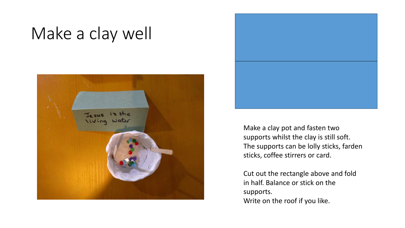#### Make a clay well





Make a clay pot and fasten two supports whilst the clay is still soft. The supports can be lolly sticks, farden sticks, coffee stirrers or card.

Cut out the rectangle above and fold in half. Balance or stick on the supports. Write on the roof if you like.